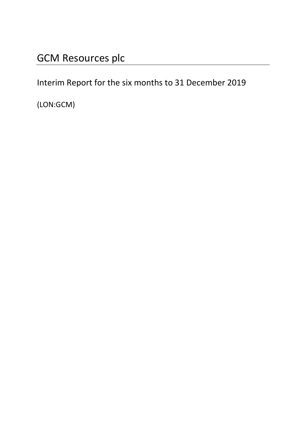Interim Report for the six months to 31 December 2019

(LON:GCM)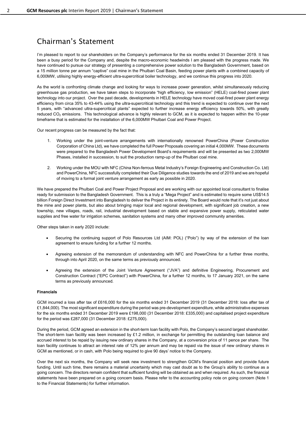### Chairman's Statement

I'm pleased to report to our shareholders on the Company's performance for the six months ended 31 December 2019. It has been a busy period for the Company and, despite the macro-economic headwinds I am pleased with the progress made. We have continued to pursue our strategy of presenting a comprehensive power solution to the Bangladesh Government, based on a 15 million tonne per annum "captive" coal mine in the Phulbari Coal Basin, feeding power plants with a combined capacity of 6,000MW, utilising highly energy-efficient ultra-supercritical boiler technology, and we continue this progress into 2020.

As the world is confronting climate change and looking for ways to increase power generation, whilst simultaneously reducing greenhouse gas production, we have taken steps to incorporate "high efficiency, low emission" (HELE) coal-fired power plant technology into our project. Over the past decade, developments in HELE technology have moved coal-fired power plant energy efficiency from circa 35% to 43-44% using the ultra-supercritical technology and this trend is expected to continue over the next 5 years, with "advanced ultra-supercritical plants" expected to further increase energy efficiency towards 50%, with greatly reduced  $CO<sub>2</sub>$  emissions. This technological advance is highly relevant to GCM, as it is expected to happen within the 10-year timeframe that is estimated for the installation of the 6,000MW Phulbari Coal and Power Project.

Our recent progress can be measured by the fact that:

- 1. Working under the joint-venture arrangements with internationally renowned PowerChina (Power Construction Corporation of China Ltd), we have completed the full Power Proposals covering an initial 4,000MW. These documents were prepared to the Bangladesh Power Development Board's requirements and will be presented as two 2,000MW Phases, installed in succession, to suit the production ramp-up of the Phulbari coal mine.
- 2. Working under the MOU with NFC (China Non-ferrous Metal Industry's Foreign Engineering and Construction Co. Ltd) and PowerChina, NFC successfully completed their Due Diligence studies towards the end of 2019 and we are hopeful of moving to a formal joint venture arrangement as early as possible in 2020.

We have prepared the Phulbari Coal and Power Project Proposal and are working with our appointed local consultant to finalise ready for submission to the Bangladesh Government. This is a truly a "Mega Project" and is estimated to require some US\$14.5 billion Foreign Direct Investment into Bangladesh to deliver the Project in its entirety. The Board would note that it's not just about the mine and power plants, but also about bringing major local and regional development, with significant job creation, a new township, new villages, roads, rail, industrial development based on stable and expansive power supply, reticulated water supplies and free water for irrigation schemes, sanitation systems and many other improved community amenities.

Other steps taken in early 2020 include:

- Securing the continuing support of Polo Resources Ltd (AIM: POL) ("Polo") by way of the extension of the loan agreement to ensure funding for a further 12 months.
- Agreeing extension of the memorandum of understanding with NFC and PowerChina for a further three months, through into April 2020, on the same terms as previously announced.
- Agreeing the extension of the Joint Venture Agreement ("JVA") and definitive Engineering, Procurement and Construction Contract ("EPC Contract") with PowerChina, for a further 12 months, to 17 January 2021, on the same terms as previously announced.

#### Financials

GCM incurred a loss after tax of £616,000 for the six months ended 31 December 2019 (31 December 2018: loss after tax of £1,844,000). The most significant expenditure during the period was pre-development expenditure, while administrative expenses for the six months ended 31 December 2019 were £198,000 (31 December 2018: £335,000) and capitalised project expenditure for the period was £287,000 (31 December 2018: £275,000).

During the period, GCM agreed an extension in the short-term loan facility with Polo, the Company's second largest shareholder. The short-term loan facility was been increased by £1.2 million, in exchange for permitting the outstanding loan balance and accrued interest to be repaid by issuing new ordinary shares in the Company, at a conversion price of 11 pence per share. The loan facility continues to attract an interest rate of 12% per annum and may be repaid via the issue of new ordinary shares in GCM as mentioned, or in cash, with Polo being required to give 90 days' notice to the Company.

Over the next six months, the Company will seek new investment to strengthen GCM's financial position and provide future funding. Until such time, there remains a material uncertainty which may cast doubt as to the Group's ability to continue as a going concern. The directors remain confident that sufficient funding will be obtained as and when required. As such, the financial statements have been prepared on a going concern basis. Please refer to the accounting policy note on going concern (Note 1 to the Financial Statements) for further information.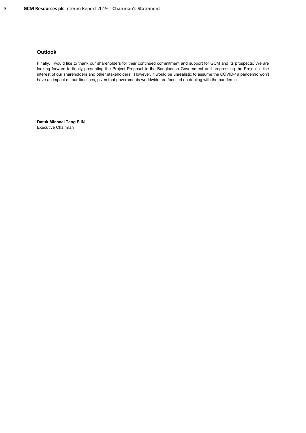### **Outlook**

Finally, I would like to thank our shareholders for their continued commitment and support for GCM and its prospects. We are looking forward to finally presenting the Project Proposal to the Bangladesh Government and progressing the Project in the interest of our shareholders and other stakeholders. However, it would be unrealistic to assume the COVID-19 pandemic won't have an impact on our timelines, given that governments worldwide are focused on dealing with the pandemic.

Datuk Michael Tang PJN Executive Chairman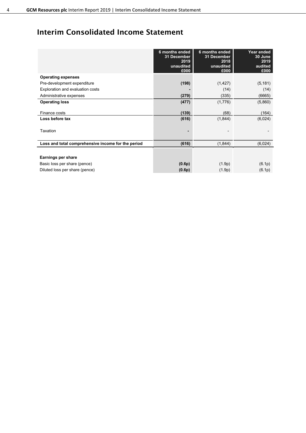## Interim Consolidated Income Statement

|                                                    | 6 months ended<br>31 December<br>2019<br>unaudited<br>£000 | 6 months ended<br>31 December<br>2018<br>unaudited<br>£000 | Year ended<br>30 June<br>2019<br>audited<br>£000 |
|----------------------------------------------------|------------------------------------------------------------|------------------------------------------------------------|--------------------------------------------------|
| <b>Operating expenses</b>                          |                                                            |                                                            |                                                  |
| Pre-development expenditure                        | (198)                                                      | (1, 427)                                                   | (5, 181)                                         |
| Exploration and evaluation costs                   |                                                            | (14)                                                       | (14)                                             |
| Administrative expenses                            | (279)                                                      | (335)                                                      | (6665)                                           |
| <b>Operating loss</b>                              | (477)                                                      | (1,776)                                                    | (5,860)                                          |
| Finance costs                                      | (139)                                                      | (68)                                                       | (164)                                            |
| Loss before tax                                    | (616)                                                      | (1,844)                                                    | (6,024)                                          |
| Taxation                                           |                                                            |                                                            |                                                  |
| Loss and total comprehensive income for the period | (616)                                                      | (1,844)                                                    | (6,024)                                          |
|                                                    |                                                            |                                                            |                                                  |
| Earnings per share                                 |                                                            |                                                            |                                                  |
| Basic loss per share (pence)                       | (0.6p)                                                     | (1.9p)                                                     | (6.1p)                                           |
| Diluted loss per share (pence)                     | (0.6p)                                                     | (1.9p)                                                     | (6.1p)                                           |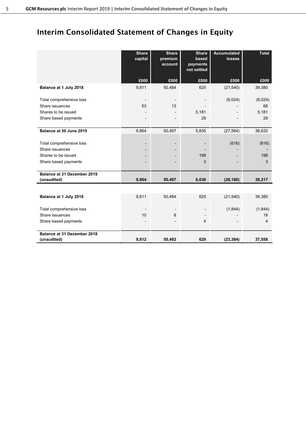# Interim Consolidated Statement of Changes in Equity

|                                    | <b>Share</b><br>capital | <b>Share</b><br>premium<br>account | <b>Share</b><br>based<br>payments<br>not settled | <b>Accumulated</b><br><b>losses</b> | <b>Total</b> |
|------------------------------------|-------------------------|------------------------------------|--------------------------------------------------|-------------------------------------|--------------|
|                                    | £000                    | £000                               | £000                                             | £000                                | £000         |
| Balance at 1 July 2018             | 9,811                   | 50,484                             | 625                                              | (21, 540)                           | 39,380       |
| Total comprehensive loss           |                         |                                    |                                                  | (6,024)                             | (6,024)      |
| Share issuances                    | 53                      | 13                                 |                                                  |                                     | 66           |
| Shares to be issued                |                         |                                    | 5,181                                            |                                     | 5,181        |
| Share based payments               |                         |                                    | 29                                               |                                     | 29           |
| Balance at 30 June 2019            | 9,864                   | 50,497                             | 5,835                                            | (27, 564)                           | 38,632       |
| Total comprehensive loss           |                         |                                    |                                                  | (616)                               | (616)        |
| Share issuances                    |                         |                                    |                                                  |                                     |              |
| Shares to be issued                |                         |                                    | 198                                              |                                     | 198          |
| Share based payments               |                         |                                    | 3                                                |                                     | 3            |
| Balance at 31 December 2019        |                         |                                    |                                                  |                                     |              |
| (unaudited)                        | 9,864                   | 50,497                             | 6,036                                            | (28, 180)                           | 38,217       |
|                                    |                         |                                    |                                                  |                                     |              |
| Balance at 1 July 2018             | 9,811                   | 50,484                             | 625                                              | (21, 540)                           | 39,380       |
| Total comprehensive loss           |                         |                                    |                                                  | (1, 844)                            | (1, 844)     |
| Share issuances                    | 10                      | 8                                  |                                                  |                                     | 18           |
| Share based payments               |                         |                                    | 4                                                |                                     | 4            |
| <b>Balance at 31 December 2018</b> |                         |                                    |                                                  |                                     |              |
| (unaudited)                        | 9,812                   | 50,492                             | 629                                              | (23, 384)                           | 37,558       |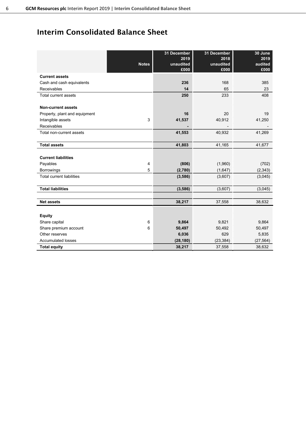# Interim Consolidated Balance Sheet

|                                  |                | 31 December       | 31 December       | 30 June                  |
|----------------------------------|----------------|-------------------|-------------------|--------------------------|
|                                  |                | 2019              | 2018              | 2019                     |
|                                  | <b>Notes</b>   | unaudited<br>£000 | unaudited<br>£000 | audited<br>£000          |
| <b>Current assets</b>            |                |                   |                   |                          |
| Cash and cash equivalents        |                | 236               | 168               | 385                      |
| Receivables                      |                | 14                | 65                | 23                       |
| Total current assets             |                | 250               | 233               | 408                      |
| <b>Non-current assets</b>        |                |                   |                   |                          |
| Property, plant and equipment    |                | 16                | 20                | 19                       |
| Intangible assets                | 3              | 41,537            | 40,912            | 41,250                   |
| Receivables                      |                |                   |                   | $\overline{\phantom{a}}$ |
| Total non-current assets         |                | 41,553            | 40,932            | 41,269                   |
|                                  |                |                   |                   |                          |
| <b>Total assets</b>              |                | 41,803            | 41,165            | 41,677                   |
|                                  |                |                   |                   |                          |
| <b>Current liabilities</b>       |                |                   |                   |                          |
| Payables                         | $\overline{4}$ | (806)             | (1,960)           | (702)                    |
| Borrowings                       | 5              | (2,780)           | (1,647)           | (2, 343)                 |
| <b>Total current liabilities</b> |                | (3,586)           | (3,607)           | (3,045)                  |
| <b>Total liabilities</b>         |                | (3,586)           | (3,607)           | (3,045)                  |
|                                  |                |                   |                   |                          |
| <b>Net assets</b>                |                | 38,217            | 37,558            | 38,632                   |
|                                  |                |                   |                   |                          |
| <b>Equity</b>                    |                |                   |                   |                          |
| Share capital                    | 6              | 9,864             | 9,821             | 9,864                    |
| Share premium account            | 6              | 50,497            | 50,492            | 50,497                   |
| Other reserves                   |                | 6,036             | 629               | 5,835                    |
| <b>Accumulated losses</b>        |                | (28, 180)         | (23, 384)         | (27, 564)                |
| <b>Total equity</b>              |                | 38,217            | 37,558            | 38,632                   |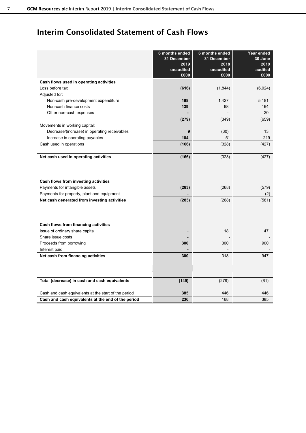# Interim Consolidated Statement of Cash Flows

|                                                      | 6 months ended<br>31 December<br>2019 | 6 months ended<br>31 December<br>2018 | Year ended<br>30 June<br>2019 |
|------------------------------------------------------|---------------------------------------|---------------------------------------|-------------------------------|
|                                                      | unaudited<br>£000                     | unaudited<br>£000                     | audited<br>£000               |
| Cash flows used in operating activities              |                                       |                                       |                               |
| Loss before tax                                      | (616)                                 | (1,844)                               | (6,024)                       |
| Adjusted for:                                        |                                       |                                       |                               |
| Non-cash pre-development expenditure                 | 198                                   | 1,427                                 | 5,181                         |
| Non-cash finance costs                               | 139                                   | 68                                    | 164                           |
| Other non-cash expenses                              |                                       |                                       | 20                            |
| Movements in working capital:                        | (279)                                 | (349)                                 | (659)                         |
| Decrease/(increase) in operating receivables         | 9                                     | (30)                                  | 13                            |
| Increase in operating payables                       | 104                                   | 51                                    | 219                           |
| Cash used in operations                              | (166)                                 | (328)                                 | (427)                         |
| Net cash used in operating activities                | (166)                                 | (328)                                 | (427)                         |
|                                                      |                                       |                                       |                               |
| Cash flows from investing activities                 |                                       |                                       |                               |
| Payments for intangible assets                       | (283)                                 | (268)                                 | (579)                         |
| Payments for property, plant and equipment           |                                       |                                       | (2)                           |
| Net cash generated from investing activities         | (283)                                 | (268)                                 | (581)                         |
|                                                      |                                       |                                       |                               |
| Cash flows from financing activities                 |                                       |                                       |                               |
| Issue of ordinary share capital                      |                                       | 18                                    | 47                            |
| Share issue costs                                    |                                       |                                       |                               |
| Proceeds from borrowing                              | 300                                   | 300                                   | 900                           |
| Interest paid                                        |                                       |                                       |                               |
| Net cash from financing activities                   | 300                                   | 318                                   | 947                           |
|                                                      |                                       |                                       |                               |
|                                                      |                                       |                                       |                               |
| Total (decrease) in cash and cash equivalents        | (149)                                 | (278)                                 | (61)                          |
| Cash and cash equivalents at the start of the period | 385                                   | 446                                   | 446                           |
| Cash and cash equivalents at the end of the period   | 236                                   | 168                                   | 385                           |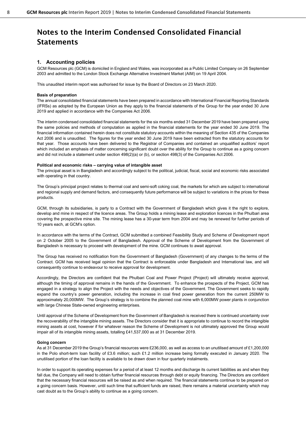# Notes to the Interim Condensed Consolidated Financial **Statements**

### 1. Accounting policies

GCM Resources plc (GCM) is domiciled in England and Wales, was incorporated as a Public Limited Company on 26 September 2003 and admitted to the London Stock Exchange Alternative Investment Market (AIM) on 19 April 2004.

This unaudited interim report was authorised for issue by the Board of Directors on 23 March 2020.

#### Basis of preparation

The annual consolidated financial statements have been prepared in accordance with International Financial Reporting Standards (IFRSs) as adopted by the European Union as they apply to the financial statements of the Group for the year ended 30 June 2019 and applied in accordance with the Companies Act 2006.

The interim condensed consolidated financial statements for the six months ended 31 December 2019 have been prepared using the same policies and methods of computation as applied in the financial statements for the year ended 30 June 2019. The financial information contained herein does not constitute statutory accounts within the meaning of Section 435 of the Companies Act 2006 and is unaudited. The figures for the year ended 30 June 2019 have been extracted from the statutory accounts for that year. Those accounts have been delivered to the Registrar of Companies and contained an unqualified auditors' report which included an emphasis of matter concerning significant doubt over the ability for the Group to continue as a going concern and did not include a statement under section 498(2)(a) or (b), or section 498(3) of the Companies Act 2006.

#### Political and economic risks – carrying value of intangible asset

The principal asset is in Bangladesh and accordingly subject to the political, judicial, fiscal, social and economic risks associated with operating in that country.

The Group's principal project relates to thermal coal and semi-soft coking coal, the markets for which are subject to international and regional supply and demand factors, and consequently future performance will be subject to variations in the prices for these products.

GCM, through its subsidiaries, is party to a Contract with the Government of Bangladesh which gives it the right to explore, develop and mine in respect of the licence areas. The Group holds a mining lease and exploration licences in the Phulbari area covering the prospective mine site. The mining lease has a 30-year term from 2004 and may be renewed for further periods of 10 years each, at GCM's option.

In accordance with the terms of the Contract, GCM submitted a combined Feasibility Study and Scheme of Development report on 2 October 2005 to the Government of Bangladesh. Approval of the Scheme of Development from the Government of Bangladesh is necessary to proceed with development of the mine. GCM continues to await approval.

The Group has received no notification from the Government of Bangladesh (Government) of any changes to the terms of the Contract. GCM has received legal opinion that the Contract is enforceable under Bangladesh and International law, and will consequently continue to endeavour to receive approval for development.

Accordingly, the Directors are confident that the Phulbari Coal and Power Project (Project) will ultimately receive approval, although the timing of approval remains in the hands of the Government. To enhance the prospects of the Project, GCM has engaged in a strategy to align the Project with the needs and objectives of the Government. The Government seeks to rapidly expand the country's power generation, including the increase in coal fired power generation from the current 250MW to approximately 20,000MW. The Group's strategy is to combine the planned coal mine with 6,000MW power plants in conjunction with large Chinese State-owned engineering enterprises.

Until approval of the Scheme of Development from the Government of Bangladesh is received there is continued uncertainty over the recoverability of the intangible mining assets. The Directors consider that it is appropriate to continue to record the intangible mining assets at cost, however if for whatever reason the Scheme of Development is not ultimately approved the Group would impair all of its intangible mining assets, totalling £41,537,000 as at 31 December 2019.

#### Going concern

As at 31 December 2019 the Group's financial resources were £236,000, as well as access to an unutilised amount of £1,200,000 in the Polo short-term loan facility of £3.6 million; such £1.2 million increase being formally executed in January 2020. The unutilised portion of the loan facility is available to be drawn down in four quarterly instalments.

In order to support its operating expenses for a period of at least 12 months and discharge its current liabilities as and when they fall due, the Company will need to obtain further financial resources through debt or equity financing. The Directors are confident that the necessary financial resources will be raised as and when required. The financial statements continue to be prepared on a going concern basis. However, until such time that sufficient funds are raised, there remains a material uncertainty which may cast doubt as to the Group's ability to continue as a going concern.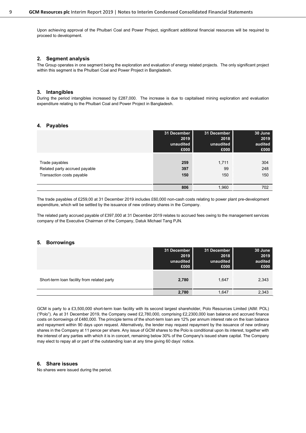Upon achieving approval of the Phulbari Coal and Power Project, significant additional financial resources will be required to proceed to development.

#### 2. Segment analysis

The Group operates in one segment being the exploration and evaluation of energy related projects. The only significant project within this segment is the Phulbari Coal and Power Project in Bangladesh.

### 3. Intangibles

During the period intangibles increased by £287,000. The increase is due to capitalised mining exploration and evaluation expenditure relating to the Phulbari Coal and Power Project in Bangladesh.

#### 4. Payables

|                               | 31 December<br>2019<br>unaudited<br>£000 | 31 December<br>2018<br>unaudited<br>£000 | 30 June<br>2019<br>audited<br>£000 |
|-------------------------------|------------------------------------------|------------------------------------------|------------------------------------|
|                               |                                          |                                          |                                    |
| Trade payables                | 259                                      | 1,711                                    | 304                                |
| Related party accrued payable | 397                                      | 99                                       | 248                                |
| Transaction costs payable     | 150                                      | 150                                      | 150                                |
|                               |                                          |                                          |                                    |
|                               | 806                                      | 1,960                                    | 702                                |

The trade payables of £259,00 at 31 December 2019 includes £60,000 non-cash costs relating to power plant pre-development expenditure, which will be settled by the issuance of new ordinary shares in the Company.

The related party accrued payable of £397,000 at 31 December 2019 relates to accrued fees owing to the management services company of the Executive Chairman of the Company, Datuk Michael Tang PJN.

#### 5. Borrowings

|                                             | 31 December<br>2019<br>unaudited<br>£000 | 31 December<br>2018<br>unaudited<br>£000 | 30 June<br>2019<br>audited<br>£000 |
|---------------------------------------------|------------------------------------------|------------------------------------------|------------------------------------|
| Short-term loan facility from related party | 2,780                                    | 1,647                                    | 2,343                              |
|                                             | 2,780                                    | 1,647                                    | 2,343                              |

GCM is party to a £3,500,000 short-term loan facility with its second largest shareholder, Polo Resources Limited (AIM: POL) ("Polo"). As at 31 December 2019, the Company owed £2,780,000, comprising £2,2300,000 loan balance and accrued finance costs on borrowings of £480,000. The principle terms of the short-term loan are 12% per annum interest rate on the loan balance and repayment within 90 days upon request. Alternatively, the lender may request repayment by the issuance of new ordinary shares in the Company at 11 pence per share. Any issue of GCM shares to the Polo is conditional upon its interest, together with the interest of any parties with which it is in concert, remaining below 30% of the Company's issued share capital. The Company may elect to repay all or part of the outstanding loan at any time giving 60 days' notice.

#### 6. Share issues

No shares were issued during the period.